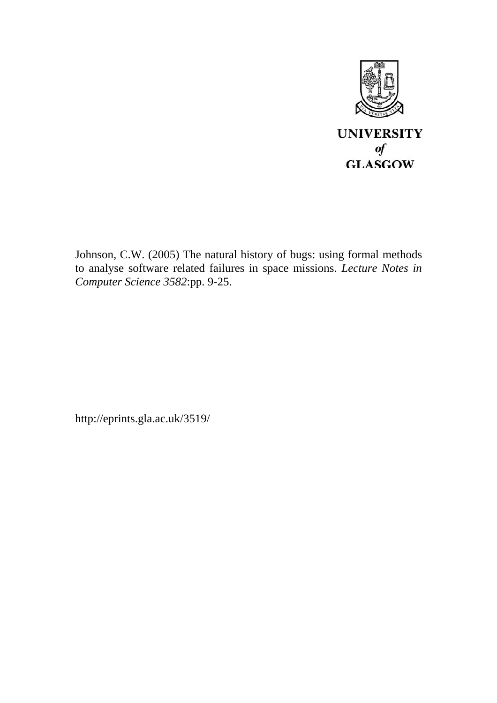

Johnson, C.W. (2005) The natural history of bugs: using formal methods to analyse software related failures in space missions. *Lecture Notes in Computer Science 3582*:pp. 9-25.

http://eprints.gla.ac.uk/3519/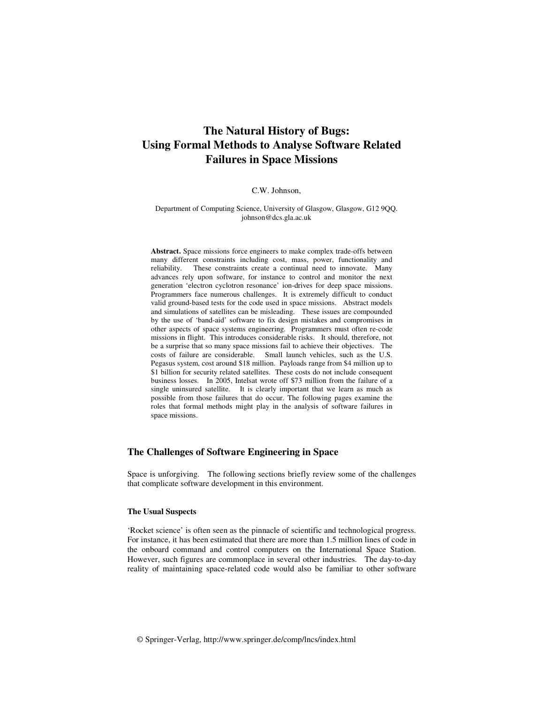## C.W. Johnson,

Department of Computing Science, University of Glasgow, Glasgow, G12 9QQ. johnson@dcs.gla.ac.uk

**Abstract.** Space missions force engineers to make complex trade-offs between many different constraints including cost, mass, power, functionality and reliability. These constraints create a continual need to innovate. Many advances rely upon software, for instance to control and monitor the next generation 'electron cyclotron resonance' ion-drives for deep space missions. Programmers face numerous challenges. It is extremely difficult to conduct valid ground-based tests for the code used in space missions. Abstract models and simulations of satellites can be misleading. These issues are compounded by the use of 'band-aid' software to fix design mistakes and compromises in other aspects of space systems engineering. Programmers must often re-code missions in flight. This introduces considerable risks. It should, therefore, not be a surprise that so many space missions fail to achieve their objectives. The costs of failure are considerable. Small launch vehicles, such as the U.S. Pegasus system, cost around \$18 million. Payloads range from \$4 million up to \$1 billion for security related satellites. These costs do not include consequent business losses. In 2005, Intelsat wrote off \$73 million from the failure of a single uninsured satellite. It is clearly important that we learn as much as possible from those failures that do occur. The following pages examine the roles that formal methods might play in the analysis of software failures in space missions.

## **The Challenges of Software Engineering in Space**

Space is unforgiving. The following sections briefly review some of the challenges that complicate software development in this environment.

## **The Usual Suspects**

'Rocket science' is often seen as the pinnacle of scientific and technological progress. For instance, it has been estimated that there are more than 1.5 million lines of code in the onboard command and control computers on the International Space Station. However, such figures are commonplace in several other industries. The day-to-day reality of maintaining space-related code would also be familiar to other software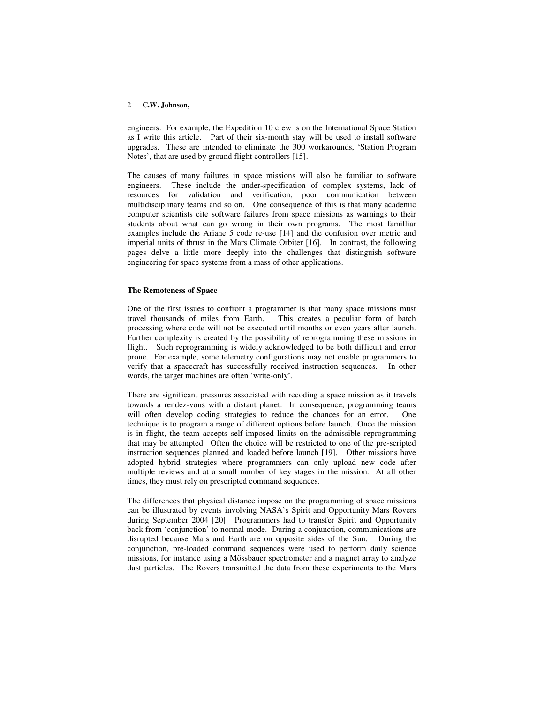engineers. For example, the Expedition 10 crew is on the International Space Station as I write this article. Part of their six-month stay will be used to install software upgrades. These are intended to eliminate the 300 workarounds, 'Station Program Notes', that are used by ground flight controllers [15].

The causes of many failures in space missions will also be familiar to software engineers. These include the under-specification of complex systems, lack of resources for validation and verification, poor communication between multidisciplinary teams and so on. One consequence of this is that many academic computer scientists cite software failures from space missions as warnings to their students about what can go wrong in their own programs. The most familliar examples include the Ariane 5 code re-use [14] and the confusion over metric and imperial units of thrust in the Mars Climate Orbiter [16]. In contrast, the following pages delve a little more deeply into the challenges that distinguish software engineering for space systems from a mass of other applications.

#### **The Remoteness of Space**

One of the first issues to confront a programmer is that many space missions must travel thousands of miles from Earth. This creates a peculiar form of batch processing where code will not be executed until months or even years after launch. Further complexity is created by the possibility of reprogramming these missions in flight. Such reprogramming is widely acknowledged to be both difficult and error prone. For example, some telemetry configurations may not enable programmers to verify that a spacecraft has successfully received instruction sequences. In other words, the target machines are often 'write-only'.

There are significant pressures associated with recoding a space mission as it travels towards a rendez-vous with a distant planet. In consequence, programming teams will often develop coding strategies to reduce the chances for an error. One technique is to program a range of different options before launch. Once the mission is in flight, the team accepts self-imposed limits on the admissible reprogramming that may be attempted. Often the choice will be restricted to one of the pre-scripted instruction sequences planned and loaded before launch [19]. Other missions have adopted hybrid strategies where programmers can only upload new code after multiple reviews and at a small number of key stages in the mission. At all other times, they must rely on prescripted command sequences.

The differences that physical distance impose on the programming of space missions can be illustrated by events involving NASA's Spirit and Opportunity Mars Rovers during September 2004 [20]. Programmers had to transfer Spirit and Opportunity back from 'conjunction' to normal mode. During a conjunction, communications are disrupted because Mars and Earth are on opposite sides of the Sun. During the conjunction, pre-loaded command sequences were used to perform daily science missions, for instance using a Mössbauer spectrometer and a magnet array to analyze dust particles. The Rovers transmitted the data from these experiments to the Mars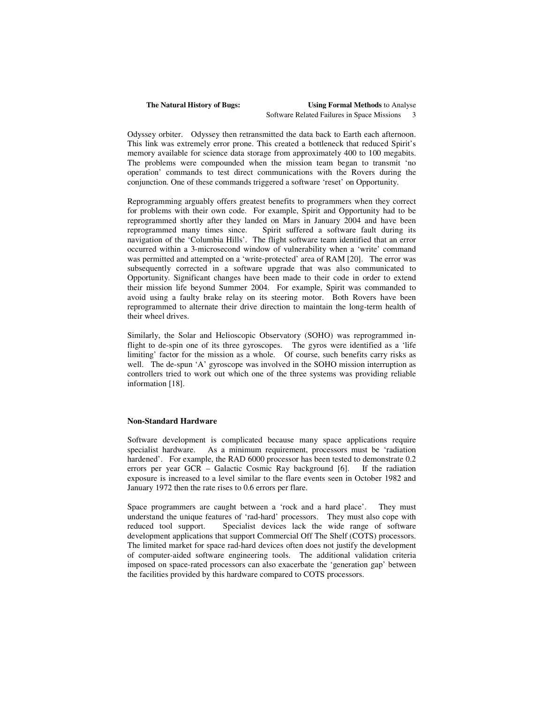Odyssey orbiter. Odyssey then retransmitted the data back to Earth each afternoon. This link was extremely error prone. This created a bottleneck that reduced Spirit's memory available for science data storage from approximately 400 to 100 megabits. The problems were compounded when the mission team began to transmit 'no operation' commands to test direct communications with the Rovers during the conjunction. One of these commands triggered a software 'reset' on Opportunity.

Reprogramming arguably offers greatest benefits to programmers when they correct for problems with their own code. For example, Spirit and Opportunity had to be reprogrammed shortly after they landed on Mars in January 2004 and have been reprogrammed many times since. Spirit suffered a software fault during its Spirit suffered a software fault during its navigation of the 'Columbia Hills'. The flight software team identified that an error occurred within a 3-microsecond window of vulnerability when a 'write' command was permitted and attempted on a 'write-protected' area of RAM [20]. The error was subsequently corrected in a software upgrade that was also communicated to Opportunity. Significant changes have been made to their code in order to extend their mission life beyond Summer 2004. For example, Spirit was commanded to avoid using a faulty brake relay on its steering motor. Both Rovers have been reprogrammed to alternate their drive direction to maintain the long-term health of their wheel drives.

Similarly, the Solar and Helioscopic Observatory (SOHO) was reprogrammed inflight to de-spin one of its three gyroscopes. The gyros were identified as a 'life limiting' factor for the mission as a whole. Of course, such benefits carry risks as well. The de-spun 'A' gyroscope was involved in the SOHO mission interruption as controllers tried to work out which one of the three systems was providing reliable information [18].

## **Non-Standard Hardware**

Software development is complicated because many space applications require specialist hardware. As a minimum requirement, processors must be 'radiation hardened'. For example, the RAD 6000 processor has been tested to demonstrate  $0.2$ errors per year GCR – Galactic Cosmic Ray background [6]. If the radiation exposure is increased to a level similar to the flare events seen in October 1982 and January 1972 then the rate rises to 0.6 errors per flare.

Space programmers are caught between a 'rock and a hard place'. They must understand the unique features of 'rad-hard' processors. They must also cope with reduced tool support. Specialist devices lack the wide range of software Specialist devices lack the wide range of software development applications that support Commercial Off The Shelf (COTS) processors. The limited market for space rad-hard devices often does not justify the development of computer-aided software engineering tools. The additional validation criteria imposed on space-rated processors can also exacerbate the 'generation gap' between the facilities provided by this hardware compared to COTS processors.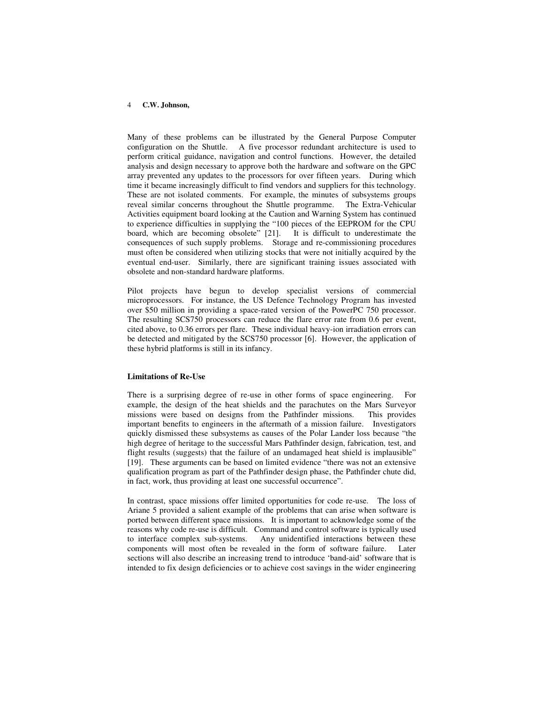Many of these problems can be illustrated by the General Purpose Computer configuration on the Shuttle. A five processor redundant architecture is used to perform critical guidance, navigation and control functions. However, the detailed analysis and design necessary to approve both the hardware and software on the GPC array prevented any updates to the processors for over fifteen years. During which time it became increasingly difficult to find vendors and suppliers for this technology. These are not isolated comments. For example, the minutes of subsystems groups reveal similar concerns throughout the Shuttle programme. The Extra-Vehicular Activities equipment board looking at the Caution and Warning System has continued to experience difficulties in supplying the "100 pieces of the EEPROM for the CPU board, which are becoming obsolete" [21]. It is difficult to underestimate the consequences of such supply problems. Storage and re-commissioning procedures must often be considered when utilizing stocks that were not initially acquired by the eventual end-user. Similarly, there are significant training issues associated with obsolete and non-standard hardware platforms.

Pilot projects have begun to develop specialist versions of commercial microprocessors. For instance, the US Defence Technology Program has invested over \$50 million in providing a space-rated version of the PowerPC 750 processor. The resulting SCS750 processors can reduce the flare error rate from 0.6 per event, cited above, to 0.36 errors per flare. These individual heavy-ion irradiation errors can be detected and mitigated by the SCS750 processor [6]. However, the application of these hybrid platforms is still in its infancy.

## **Limitations of Re-Use**

There is a surprising degree of re-use in other forms of space engineering. For example, the design of the heat shields and the parachutes on the Mars Surveyor missions were based on designs from the Pathfinder missions. This provides important benefits to engineers in the aftermath of a mission failure. Investigators quickly dismissed these subsystems as causes of the Polar Lander loss because "the high degree of heritage to the successful Mars Pathfinder design, fabrication, test, and flight results (suggests) that the failure of an undamaged heat shield is implausible" [19]. These arguments can be based on limited evidence "there was not an extensive qualification program as part of the Pathfinder design phase, the Pathfinder chute did, in fact, work, thus providing at least one successful occurrence".

In contrast, space missions offer limited opportunities for code re-use. The loss of Ariane 5 provided a salient example of the problems that can arise when software is ported between different space missions. It is important to acknowledge some of the reasons why code re-use is difficult. Command and control software is typically used to interface complex sub-systems. Any unidentified interactions between these components will most often be revealed in the form of software failure. Later sections will also describe an increasing trend to introduce 'band-aid' software that is intended to fix design deficiencies or to achieve cost savings in the wider engineering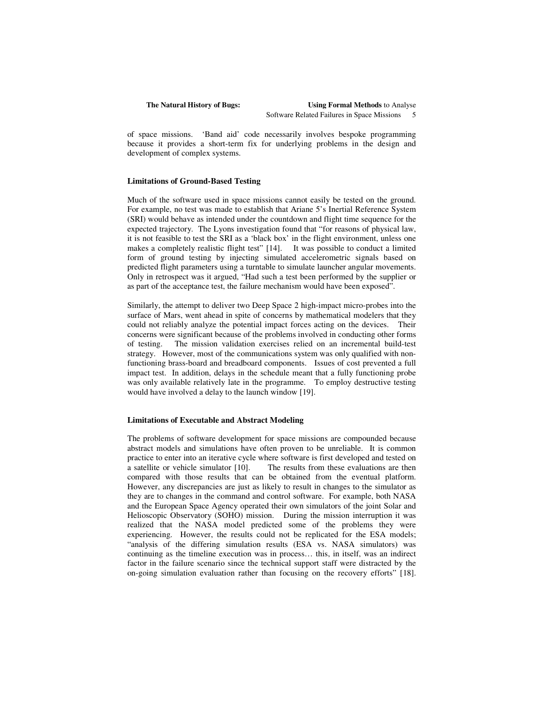of space missions. 'Band aid' code necessarily involves bespoke programming because it provides a short-term fix for underlying problems in the design and development of complex systems.

## **Limitations of Ground-Based Testing**

Much of the software used in space missions cannot easily be tested on the ground. For example, no test was made to establish that Ariane 5's Inertial Reference System (SRI) would behave as intended under the countdown and flight time sequence for the expected trajectory. The Lyons investigation found that "for reasons of physical law, it is not feasible to test the SRI as a 'black box' in the flight environment, unless one makes a completely realistic flight test" [14]. It was possible to conduct a limited form of ground testing by injecting simulated accelerometric signals based on predicted flight parameters using a turntable to simulate launcher angular movements. Only in retrospect was it argued, "Had such a test been performed by the supplier or as part of the acceptance test, the failure mechanism would have been exposed".

Similarly, the attempt to deliver two Deep Space 2 high-impact micro-probes into the surface of Mars, went ahead in spite of concerns by mathematical modelers that they could not reliably analyze the potential impact forces acting on the devices. Their concerns were significant because of the problems involved in conducting other forms The mission validation exercises relied on an incremental build-test strategy. However, most of the communications system was only qualified with nonfunctioning brass-board and breadboard components. Issues of cost prevented a full impact test. In addition, delays in the schedule meant that a fully functioning probe was only available relatively late in the programme. To employ destructive testing would have involved a delay to the launch window [19].

## **Limitations of Executable and Abstract Modeling**

The problems of software development for space missions are compounded because abstract models and simulations have often proven to be unreliable. It is common practice to enter into an iterative cycle where software is first developed and tested on a satellite or vehicle simulator [10]. The results from these evaluations are then compared with those results that can be obtained from the eventual platform. However, any discrepancies are just as likely to result in changes to the simulator as they are to changes in the command and control software. For example, both NASA and the European Space Agency operated their own simulators of the joint Solar and Helioscopic Observatory (SOHO) mission. During the mission interruption it was realized that the NASA model predicted some of the problems they were experiencing. However, the results could not be replicated for the ESA models; "analysis of the differing simulation results (ESA vs. NASA simulators) was continuing as the timeline execution was in process… this, in itself, was an indirect factor in the failure scenario since the technical support staff were distracted by the on-going simulation evaluation rather than focusing on the recovery efforts" [18].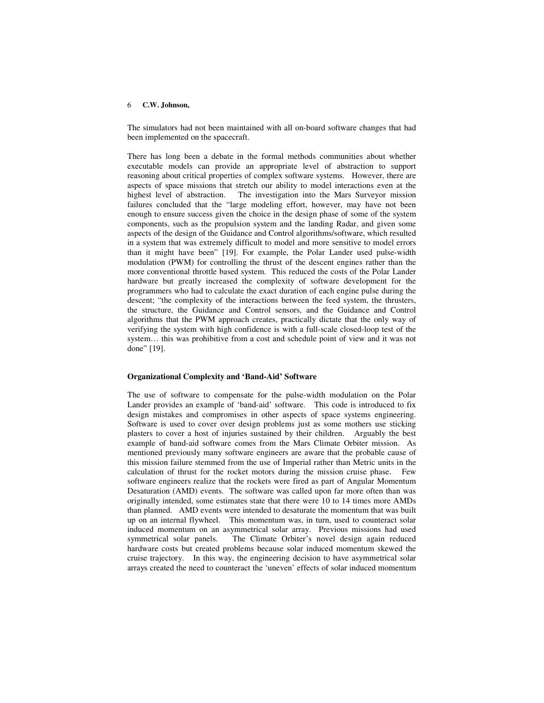The simulators had not been maintained with all on-board software changes that had been implemented on the spacecraft.

There has long been a debate in the formal methods communities about whether executable models can provide an appropriate level of abstraction to support reasoning about critical properties of complex software systems. However, there are aspects of space missions that stretch our ability to model interactions even at the highest level of abstraction. The investigation into the Mars Surveyor mission The investigation into the Mars Surveyor mission failures concluded that the "large modeling effort, however, may have not been enough to ensure success given the choice in the design phase of some of the system components, such as the propulsion system and the landing Radar, and given some aspects of the design of the Guidance and Control algorithms/software, which resulted in a system that was extremely difficult to model and more sensitive to model errors than it might have been" [19]. For example, the Polar Lander used pulse-width modulation (PWM) for controlling the thrust of the descent engines rather than the more conventional throttle based system. This reduced the costs of the Polar Lander hardware but greatly increased the complexity of software development for the programmers who had to calculate the exact duration of each engine pulse during the descent; "the complexity of the interactions between the feed system, the thrusters, the structure, the Guidance and Control sensors, and the Guidance and Control algorithms that the PWM approach creates, practically dictate that the only way of verifying the system with high confidence is with a full-scale closed-loop test of the system… this was prohibitive from a cost and schedule point of view and it was not done" [19].

## **Organizational Complexity and 'Band-Aid' Software**

The use of software to compensate for the pulse-width modulation on the Polar Lander provides an example of 'band-aid' software. This code is introduced to fix design mistakes and compromises in other aspects of space systems engineering. Software is used to cover over design problems just as some mothers use sticking plasters to cover a host of injuries sustained by their children. Arguably the best example of band-aid software comes from the Mars Climate Orbiter mission. As mentioned previously many software engineers are aware that the probable cause of this mission failure stemmed from the use of Imperial rather than Metric units in the calculation of thrust for the rocket motors during the mission cruise phase. Few software engineers realize that the rockets were fired as part of Angular Momentum Desaturation (AMD) events. The software was called upon far more often than was originally intended, some estimates state that there were 10 to 14 times more AMDs than planned. AMD events were intended to desaturate the momentum that was built up on an internal flywheel. This momentum was, in turn, used to counteract solar induced momentum on an asymmetrical solar array. Previous missions had used symmetrical solar panels. The Climate Orbiter's novel design again reduced hardware costs but created problems because solar induced momentum skewed the cruise trajectory. In this way, the engineering decision to have asymmetrical solar arrays created the need to counteract the 'uneven' effects of solar induced momentum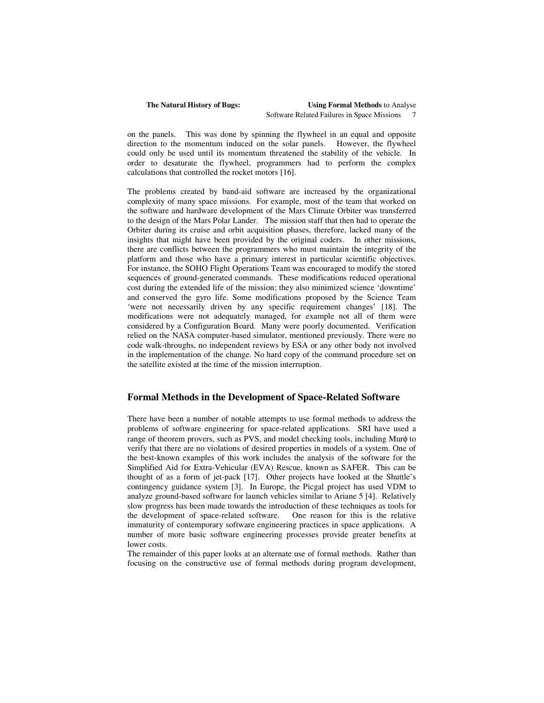on the panels. This was done by spinning the flywheel in an equal and opposite direction to the momentum induced on the solar panels. However, the flywheel could only be used until its momentum threatened the stability of the vehicle. In order to desaturate the flywheel, programmers had to perform the complex calculations that controlled the rocket motors [16].

The problems created by band-aid software are increased by the organizational complexity of many space missions. For example, most of the team that worked on the software and hardware development of the Mars Climate Orbiter was transferred to the design of the Mars Polar Lander. The mission staff that then had to operate the Orbiter during its cruise and orbit acquisition phases, therefore, lacked many of the insights that might have been provided by the original coders. In other missions, there are conflicts between the programmers who must maintain the integrity of the platform and those who have a primary interest in particular scientific objectives. For instance, the SOHO Flight Operations Team was encouraged to modify the stored sequences of ground-generated commands. These modifications reduced operational cost during the extended life of the mission; they also minimized science 'downtime' and conserved the gyro life. Some modifications proposed by the Science Team 'were not necessarily driven by any specific requirement changes' [18]. The modifications were not adequately managed, for example not all of them were considered by a Configuration Board. Many were poorly documented. Verification relied on the NASA computer-based simulator, mentioned previously. There were no code walk-throughs, no independent reviews by ESA or any other body not involved in the implementation of the change. No hard copy of the command procedure set on the satellite existed at the time of the mission interruption.

## **Formal Methods in the Development of Space-Related Software**

There have been a number of notable attempts to use formal methods to address the problems of software engineering for space-related applications. SRI have used a range of theorem provers, such as PVS, and model checking tools, including Murφ to verify that there are no violations of desired properties in models of a system. One of the best-known examples of this work includes the analysis of the software for the Simplified Aid for Extra-Vehicular (EVA) Rescue, known as SAFER. This can be thought of as a form of jet-pack [17]. Other projects have looked at the Shuttle's contingency guidance system [3]. In Europe, the Picgal project has used VDM to analyze ground-based software for launch vehicles similar to Ariane 5 [4]. Relatively slow progress has been made towards the introduction of these techniques as tools for the development of space-related software. One reason for this is the relative immaturity of contemporary software engineering practices in space applications. A number of more basic software engineering processes provide greater benefits at lower costs.

The remainder of this paper looks at an alternate use of formal methods. Rather than focusing on the constructive use of formal methods during program development,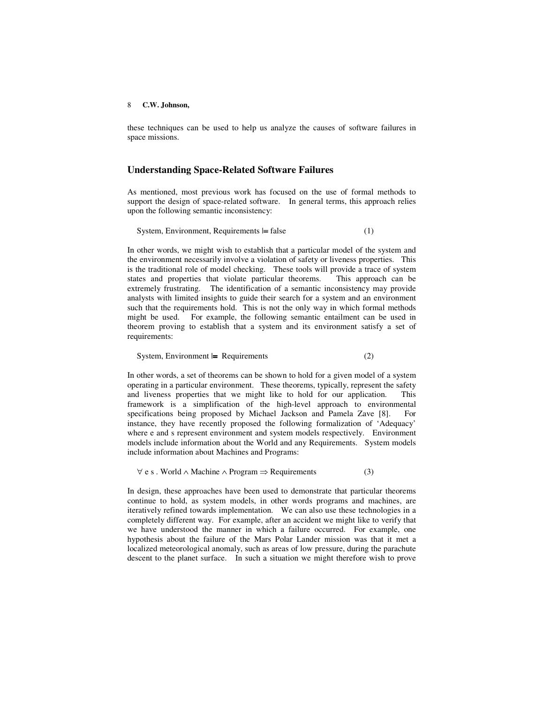these techniques can be used to help us analyze the causes of software failures in space missions.

## **Understanding Space-Related Software Failures**

As mentioned, most previous work has focused on the use of formal methods to support the design of space-related software. In general terms, this approach relies upon the following semantic inconsistency:

System, Environment, Requirements  $=$  false (1)

In other words, we might wish to establish that a particular model of the system and the environment necessarily involve a violation of safety or liveness properties. This is the traditional role of model checking. These tools will provide a trace of system states and properties that violate particular theorems. This approach can be extremely frustrating. The identification of a semantic inconsistency may provide analysts with limited insights to guide their search for a system and an environment such that the requirements hold. This is not the only way in which formal methods might be used. For example, the following semantic entailment can be used in theorem proving to establish that a system and its environment satisfy a set of requirements:

 $System, Environment \nightharpoonup \nightharpoonup \nightharpoonup \nightharpoonup \nightharpoonup \nightharpoonup \nightharpoonup \nightharpoonup \nightharpoonup \nightharpoonup \nightharpoonup \nightharpoonup \nightharpoonup \nightharpoonup \nightharpoonup \nightharpoonup \nightharpoonup \nightharpoonup \nightharpoonup \nightharpoonup \nightharpoonup \nightharpoonup \nightharpoonup \nightharpoonup \nightharpoonup \nightharpoonup \nightharpoonup \nightharpoonup \nightharpoonup \nightharpoonup \nightharpoonup \nightharpoonup \nightharpoonup \nightharpoonup \nightharpoonup \nightharpoonup \$ 

In other words, a set of theorems can be shown to hold for a given model of a system operating in a particular environment. These theorems, typically, represent the safety and liveness properties that we might like to hold for our application. This framework is a simplification of the high-level approach to environmental specifications being proposed by Michael Jackson and Pamela Zave [8]. For instance, they have recently proposed the following formalization of 'Adequacy' where e and s represent environment and system models respectively. Environment models include information about the World and any Requirements. System models include information about Machines and Programs:

$$
\forall e \text{ s. World} \land \text{Machine} \land \text{Program} \Rightarrow \text{Requirements} \tag{3}
$$

In design, these approaches have been used to demonstrate that particular theorems continue to hold, as system models, in other words programs and machines, are iteratively refined towards implementation. We can also use these technologies in a completely different way. For example, after an accident we might like to verify that we have understood the manner in which a failure occurred. For example, one hypothesis about the failure of the Mars Polar Lander mission was that it met a localized meteorological anomaly, such as areas of low pressure, during the parachute descent to the planet surface. In such a situation we might therefore wish to prove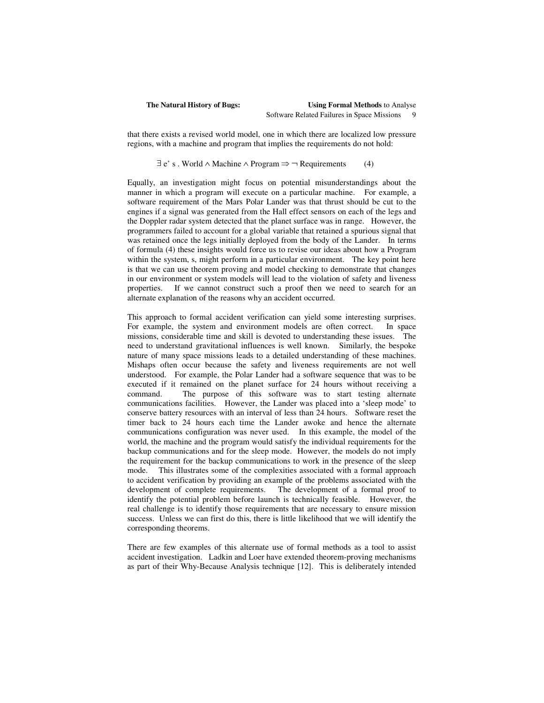that there exists a revised world model, one in which there are localized low pressure regions, with a machine and program that implies the requirements do not hold:

 $\exists e$ ' s . World ∧ Machine ∧ Program  $\Rightarrow \neg$  Requirements (4)

Equally, an investigation might focus on potential misunderstandings about the manner in which a program will execute on a particular machine. For example, a software requirement of the Mars Polar Lander was that thrust should be cut to the engines if a signal was generated from the Hall effect sensors on each of the legs and the Doppler radar system detected that the planet surface was in range. However, the programmers failed to account for a global variable that retained a spurious signal that was retained once the legs initially deployed from the body of the Lander. In terms of formula (4) these insights would force us to revise our ideas about how a Program within the system, s, might perform in a particular environment. The key point here is that we can use theorem proving and model checking to demonstrate that changes in our environment or system models will lead to the violation of safety and liveness properties. If we cannot construct such a proof then we need to search for an alternate explanation of the reasons why an accident occurred.

This approach to formal accident verification can yield some interesting surprises. For example, the system and environment models are often correct. In space missions, considerable time and skill is devoted to understanding these issues. The need to understand gravitational influences is well known. Similarly, the bespoke nature of many space missions leads to a detailed understanding of these machines. Mishaps often occur because the safety and liveness requirements are not well understood. For example, the Polar Lander had a software sequence that was to be executed if it remained on the planet surface for 24 hours without receiving a command. The purpose of this software was to start testing alternate communications facilities. However, the Lander was placed into a 'sleep mode' to conserve battery resources with an interval of less than 24 hours. Software reset the timer back to 24 hours each time the Lander awoke and hence the alternate communications configuration was never used. In this example, the model of the world, the machine and the program would satisfy the individual requirements for the backup communications and for the sleep mode. However, the models do not imply the requirement for the backup communications to work in the presence of the sleep mode. This illustrates some of the complexities associated with a formal approach to accident verification by providing an example of the problems associated with the development of complete requirements. The development of a formal proof to identify the potential problem before launch is technically feasible. However, the real challenge is to identify those requirements that are necessary to ensure mission success. Unless we can first do this, there is little likelihood that we will identify the corresponding theorems.

There are few examples of this alternate use of formal methods as a tool to assist accident investigation. Ladkin and Loer have extended theorem-proving mechanisms as part of their Why-Because Analysis technique [12]. This is deliberately intended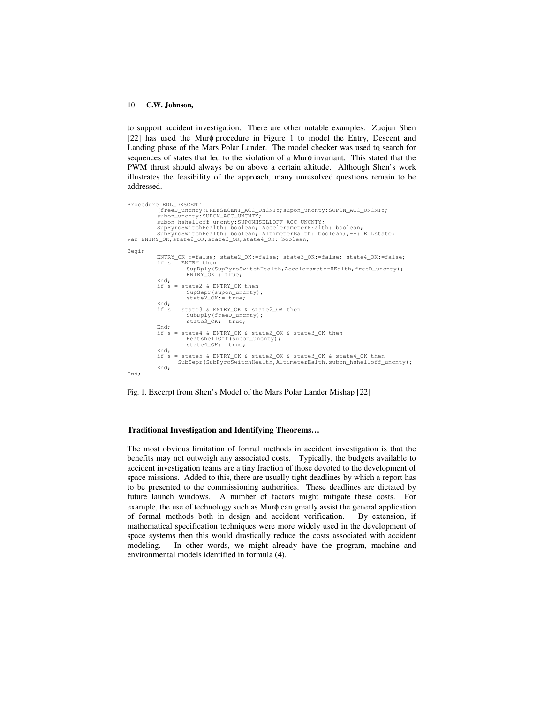to support accident investigation. There are other notable examples. Zuojun Shen [22] has used the Murφ procedure in Figure 1 to model the Entry, Descent and Landing phase of the Mars Polar Lander. The model checker was used to search for sequences of states that led to the violation of a Murφ invariant. This stated that the PWM thrust should always be on above a certain altitude. Although Shen's work illustrates the feasibility of the approach, many unresolved questions remain to be addressed.

```
Procedure EDL_DESCENT
           (freeD_uncnty:FREESECENT_ACC_UNCNTY;supon_uncnty:SUPON_ACC_UNCNTY;
subon_uncnty:SUBON_ACC_UNCNTY;
           subon_hshelloff_uncnty:SUPONHSELLOFF_ACC_UNCNTY;
           SupPyroSwitchHealth: boolean; AccelerameterHEalth: boolean; SubPyroSwitchHealth: boolean; AltimeterEalth: boolean);--: EDLstate;
SubPyroSwitchHealth: boolean; AltimeterEalth: boolean);--: EDLstate;
Var ENTRY_OK,state2_OK,state3_OK,state4_OK: boolean;
Begin
           ENTRY_OK :=false; state2_OK:=false; state3_OK:=false; state4_OK:=false;
if s = ENTRY then
                      SupDply(SupPyroSwitchHealth,AccelerameterHEalth,freeD_uncnty);<br>ENTRY_OK :=true;
          End;
           if s = state2 & ENTRY_OK then
                      SupSepr(supon_uncnty);
state2_OK:= true;
          End;
           if s = state3 & ENTRY_OK & state2_OK then
                      SubDply(freeD_uncnty);
state3_OK:= true;
          End;
          if s = state4 & ENTRY_OK & state2_OK & state3_OK then
                      HeatshellOff(subon_uncnty);
state4_OK:= true;
          End;
           if s = state5 & ENTRY_OK & state2_OK & state3_OK & state4_OK then
                  SubSepr(SubPyroSwitchHealth,AltimeterEalth,subon_hshelloff_uncnty);
          End;
End;
```
Fig. 1. Excerpt from Shen's Model of the Mars Polar Lander Mishap [22]

## **Traditional Investigation and Identifying Theorems…**

The most obvious limitation of formal methods in accident investigation is that the benefits may not outweigh any associated costs. Typically, the budgets available to accident investigation teams are a tiny fraction of those devoted to the development of space missions. Added to this, there are usually tight deadlines by which a report has to be presented to the commissioning authorities. These deadlines are dictated by future launch windows. A number of factors might mitigate these costs. For example, the use of technology such as Murφ can greatly assist the general application of formal methods both in design and accident verification. By extension, if mathematical specification techniques were more widely used in the development of space systems then this would drastically reduce the costs associated with accident modeling. In other words, we might already have the program, machine and environmental models identified in formula (4).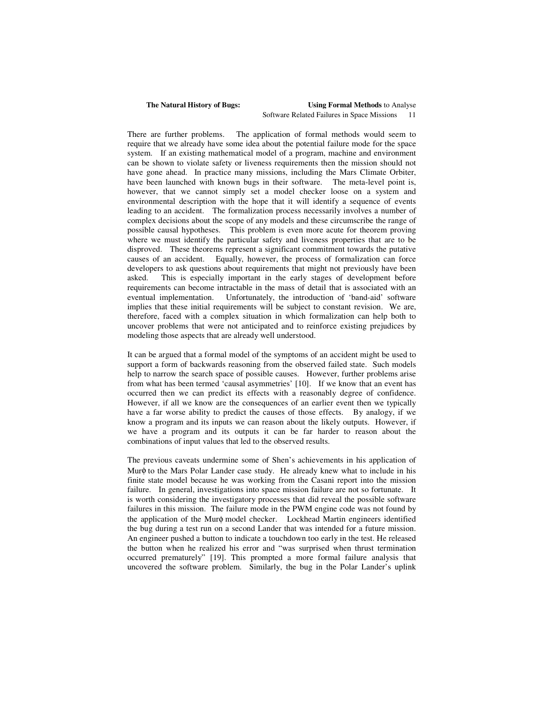There are further problems. The application of formal methods would seem to require that we already have some idea about the potential failure mode for the space system. If an existing mathematical model of a program, machine and environment can be shown to violate safety or liveness requirements then the mission should not have gone ahead. In practice many missions, including the Mars Climate Orbiter, have been launched with known bugs in their software. The meta-level point is, however, that we cannot simply set a model checker loose on a system and environmental description with the hope that it will identify a sequence of events leading to an accident. The formalization process necessarily involves a number of complex decisions about the scope of any models and these circumscribe the range of possible causal hypotheses. This problem is even more acute for theorem proving where we must identify the particular safety and liveness properties that are to be disproved. These theorems represent a significant commitment towards the putative causes of an accident. Equally, however, the process of formalization can force developers to ask questions about requirements that might not previously have been asked. This is especially important in the early stages of development before requirements can become intractable in the mass of detail that is associated with an eventual implementation. Unfortunately, the introduction of 'band-aid' software implies that these initial requirements will be subject to constant revision. We are, therefore, faced with a complex situation in which formalization can help both to uncover problems that were not anticipated and to reinforce existing prejudices by modeling those aspects that are already well understood.

It can be argued that a formal model of the symptoms of an accident might be used to support a form of backwards reasoning from the observed failed state. Such models help to narrow the search space of possible causes. However, further problems arise from what has been termed 'causal asymmetries' [10]. If we know that an event has occurred then we can predict its effects with a reasonably degree of confidence. However, if all we know are the consequences of an earlier event then we typically have a far worse ability to predict the causes of those effects. By analogy, if we know a program and its inputs we can reason about the likely outputs. However, if we have a program and its outputs it can be far harder to reason about the combinations of input values that led to the observed results.

The previous caveats undermine some of Shen's achievements in his application of Murφ to the Mars Polar Lander case study. He already knew what to include in his finite state model because he was working from the Casani report into the mission failure. In general, investigations into space mission failure are not so fortunate. It is worth considering the investigatory processes that did reveal the possible software failures in this mission. The failure mode in the PWM engine code was not found by the application of the Murφ model checker. Lockhead Martin engineers identified the bug during a test run on a second Lander that was intended for a future mission. An engineer pushed a button to indicate a touchdown too early in the test. He released the button when he realized his error and "was surprised when thrust termination occurred prematurely" [19]. This prompted a more formal failure analysis that uncovered the software problem. Similarly, the bug in the Polar Lander's uplink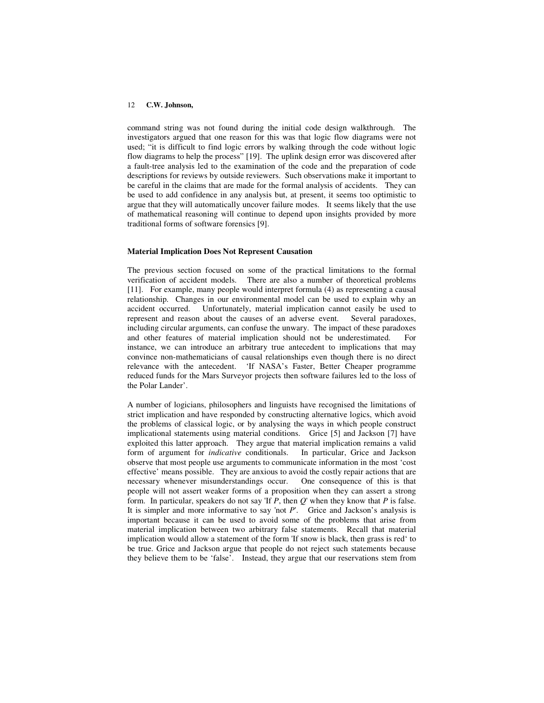command string was not found during the initial code design walkthrough. The investigators argued that one reason for this was that logic flow diagrams were not used; "it is difficult to find logic errors by walking through the code without logic flow diagrams to help the process" [19]. The uplink design error was discovered after a fault-tree analysis led to the examination of the code and the preparation of code descriptions for reviews by outside reviewers. Such observations make it important to be careful in the claims that are made for the formal analysis of accidents. They can be used to add confidence in any analysis but, at present, it seems too optimistic to argue that they will automatically uncover failure modes. It seems likely that the use of mathematical reasoning will continue to depend upon insights provided by more traditional forms of software forensics [9].

## **Material Implication Does Not Represent Causation**

The previous section focused on some of the practical limitations to the formal verification of accident models. There are also a number of theoretical problems [11]. For example, many people would interpret formula (4) as representing a causal relationship. Changes in our environmental model can be used to explain why an accident occurred. Unfortunately, material implication cannot easily be used to represent and reason about the causes of an adverse event. Several paradoxes, including circular arguments, can confuse the unwary. The impact of these paradoxes and other features of material implication should not be underestimated. For instance, we can introduce an arbitrary true antecedent to implications that may convince non-mathematicians of causal relationships even though there is no direct relevance with the antecedent. 'If NASA's Faster, Better Cheaper programme reduced funds for the Mars Surveyor projects then software failures led to the loss of the Polar Lander'.

A number of logicians, philosophers and linguists have recognised the limitations of strict implication and have responded by constructing alternative logics, which avoid the problems of classical logic, or by analysing the ways in which people construct implicational statements using material conditions. Grice [5] and Jackson [7] have exploited this latter approach. They argue that material implication remains a valid form of argument for *indicative* conditionals. In particular, Grice and Jackson observe that most people use arguments to communicate information in the most 'cost effective' means possible. They are anxious to avoid the costly repair actions that are necessary whenever misunderstandings occur. One consequence of this is that people will not assert weaker forms of a proposition when they can assert a strong form. In particular, speakers do not say 'If *P*, then *Q*' when they know that *P* is false. It is simpler and more informative to say 'not *P*'. Grice and Jackson's analysis is important because it can be used to avoid some of the problems that arise from material implication between two arbitrary false statements. Recall that material implication would allow a statement of the form 'If snow is black, then grass is red' to be true. Grice and Jackson argue that people do not reject such statements because they believe them to be 'false'. Instead, they argue that our reservations stem from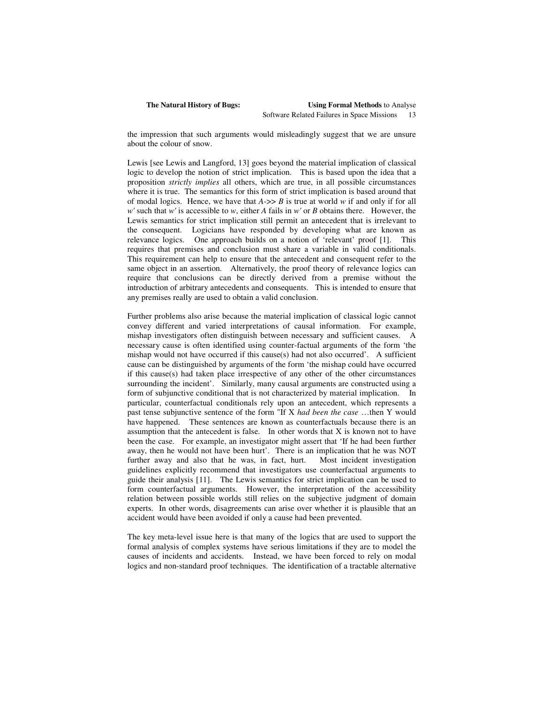the impression that such arguments would misleadingly suggest that we are unsure about the colour of snow.

Lewis [see Lewis and Langford, 13] goes beyond the material implication of classical logic to develop the notion of strict implication. This is based upon the idea that a proposition *strictly implies* all others, which are true, in all possible circumstances where it is true. The semantics for this form of strict implication is based around that of modal logics. Hence, we have that  $A \rightarrow B$  is true at world *w* if and only if for all *w'* such that *w'* is accessible to *w*, either *A* fails in *w'* or *B* obtains there. However, the Lewis semantics for strict implication still permit an antecedent that is irrelevant to the consequent. Logicians have responded by developing what are known as relevance logics. One approach builds on a notion of 'relevant' proof [1]. This requires that premises and conclusion must share a variable in valid conditionals. This requirement can help to ensure that the antecedent and consequent refer to the same object in an assertion. Alternatively, the proof theory of relevance logics can require that conclusions can be directly derived from a premise without the introduction of arbitrary antecedents and consequents. This is intended to ensure that any premises really are used to obtain a valid conclusion.

Further problems also arise because the material implication of classical logic cannot convey different and varied interpretations of causal information. For example, mishap investigators often distinguish between necessary and sufficient causes. A necessary cause is often identified using counter-factual arguments of the form 'the mishap would not have occurred if this cause(s) had not also occurred'. A sufficient cause can be distinguished by arguments of the form 'the mishap could have occurred if this cause(s) had taken place irrespective of any other of the other circumstances surrounding the incident'. Similarly, many causal arguments are constructed using a form of subjunctive conditional that is not characterized by material implication. In particular, counterfactual conditionals rely upon an antecedent, which represents a past tense subjunctive sentence of the form "If X *had been the case* …then Y would have happened. These sentences are known as counterfactuals because there is an assumption that the antecedent is false. In other words that X is known not to have been the case. For example, an investigator might assert that 'If he had been further away, then he would not have been hurt'. There is an implication that he was NOT further away and also that he was, in fact, hurt. Most incident investigation further away and also that he was, in fact, hurt. guidelines explicitly recommend that investigators use counterfactual arguments to guide their analysis [11]. The Lewis semantics for strict implication can be used to form counterfactual arguments. However, the interpretation of the accessibility relation between possible worlds still relies on the subjective judgment of domain experts. In other words, disagreements can arise over whether it is plausible that an accident would have been avoided if only a cause had been prevented.

The key meta-level issue here is that many of the logics that are used to support the formal analysis of complex systems have serious limitations if they are to model the causes of incidents and accidents. Instead, we have been forced to rely on modal logics and non-standard proof techniques. The identification of a tractable alternative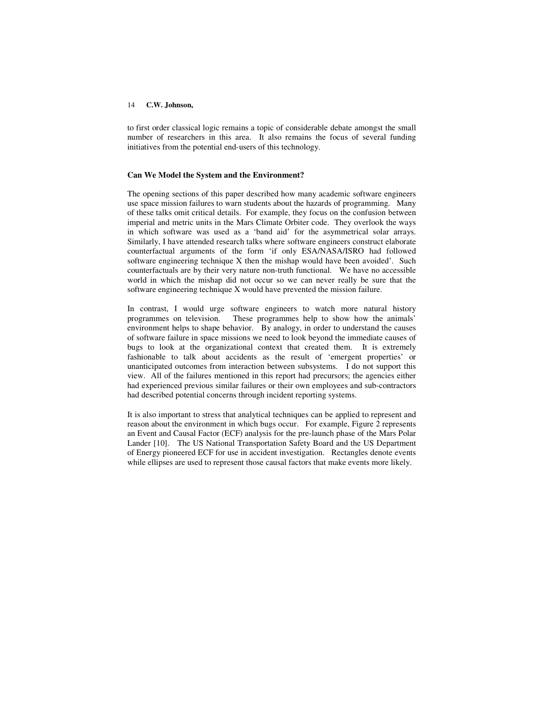to first order classical logic remains a topic of considerable debate amongst the small number of researchers in this area. It also remains the focus of several funding initiatives from the potential end-users of this technology.

## **Can We Model the System and the Environment?**

The opening sections of this paper described how many academic software engineers use space mission failures to warn students about the hazards of programming. Many of these talks omit critical details. For example, they focus on the confusion between imperial and metric units in the Mars Climate Orbiter code. They overlook the ways in which software was used as a 'band aid' for the asymmetrical solar arrays. Similarly, I have attended research talks where software engineers construct elaborate counterfactual arguments of the form 'if only ESA/NASA/ISRO had followed software engineering technique X then the mishap would have been avoided'. Such counterfactuals are by their very nature non-truth functional. We have no accessible world in which the mishap did not occur so we can never really be sure that the software engineering technique X would have prevented the mission failure.

In contrast, I would urge software engineers to watch more natural history programmes on television. These programmes help to show how the animals' environment helps to shape behavior. By analogy, in order to understand the causes of software failure in space missions we need to look beyond the immediate causes of bugs to look at the organizational context that created them. It is extremely fashionable to talk about accidents as the result of 'emergent properties' or unanticipated outcomes from interaction between subsystems. I do not support this view. All of the failures mentioned in this report had precursors; the agencies either had experienced previous similar failures or their own employees and sub-contractors had described potential concerns through incident reporting systems.

It is also important to stress that analytical techniques can be applied to represent and reason about the environment in which bugs occur. For example, Figure 2 represents an Event and Causal Factor (ECF) analysis for the pre-launch phase of the Mars Polar Lander [10]. The US National Transportation Safety Board and the US Department of Energy pioneered ECF for use in accident investigation. Rectangles denote events while ellipses are used to represent those causal factors that make events more likely.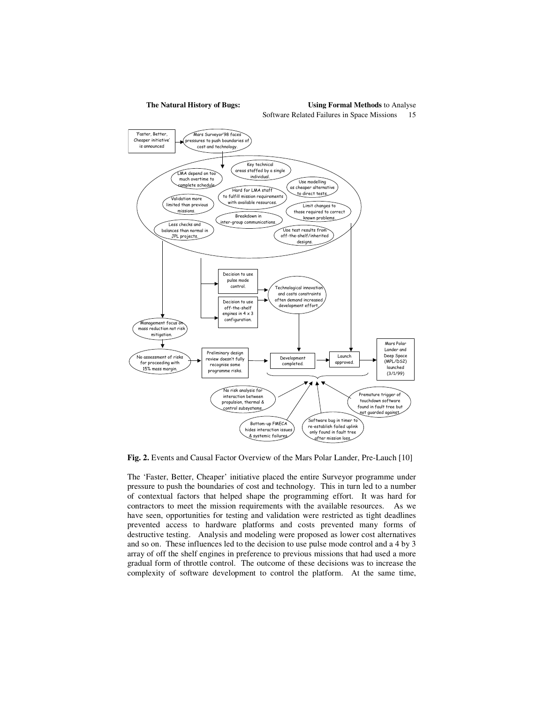

**Fig. 2.** Events and Causal Factor Overview of the Mars Polar Lander, Pre-Lauch [10]

The 'Faster, Better, Cheaper' initiative placed the entire Surveyor programme under pressure to push the boundaries of cost and technology. This in turn led to a number of contextual factors that helped shape the programming effort. It was hard for contractors to meet the mission requirements with the available resources. As we have seen, opportunities for testing and validation were restricted as tight deadlines prevented access to hardware platforms and costs prevented many forms of destructive testing. Analysis and modeling were proposed as lower cost alternatives and so on. These influences led to the decision to use pulse mode control and a 4 by 3 array of off the shelf engines in preference to previous missions that had used a more gradual form of throttle control. The outcome of these decisions was to increase the complexity of software development to control the platform. At the same time,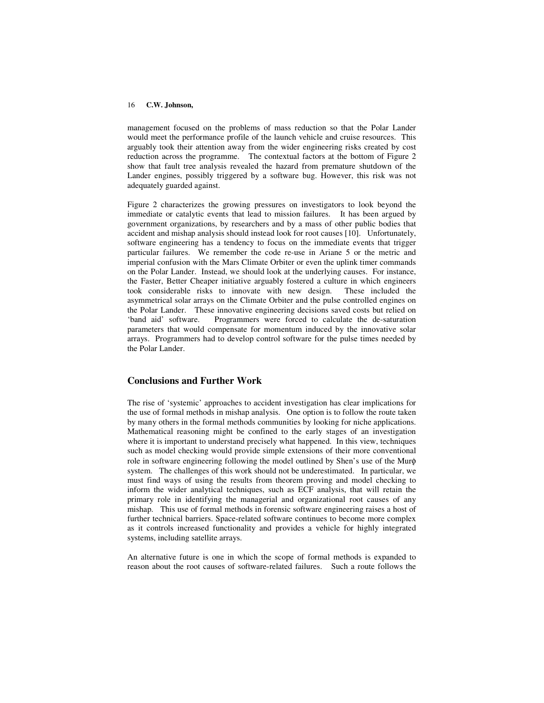management focused on the problems of mass reduction so that the Polar Lander would meet the performance profile of the launch vehicle and cruise resources. This arguably took their attention away from the wider engineering risks created by cost reduction across the programme. The contextual factors at the bottom of Figure 2 show that fault tree analysis revealed the hazard from premature shutdown of the Lander engines, possibly triggered by a software bug. However, this risk was not adequately guarded against.

Figure 2 characterizes the growing pressures on investigators to look beyond the immediate or catalytic events that lead to mission failures. It has been argued by government organizations, by researchers and by a mass of other public bodies that accident and mishap analysis should instead look for root causes [10]. Unfortunately, software engineering has a tendency to focus on the immediate events that trigger particular failures. We remember the code re-use in Ariane 5 or the metric and imperial confusion with the Mars Climate Orbiter or even the uplink timer commands on the Polar Lander. Instead, we should look at the underlying causes. For instance, the Faster, Better Cheaper initiative arguably fostered a culture in which engineers took considerable risks to innovate with new design. These included the asymmetrical solar arrays on the Climate Orbiter and the pulse controlled engines on the Polar Lander. These innovative engineering decisions saved costs but relied on 'band aid' software. Programmers were forced to calculate the de-saturation Programmers were forced to calculate the de-saturation parameters that would compensate for momentum induced by the innovative solar arrays. Programmers had to develop control software for the pulse times needed by the Polar Lander.

## **Conclusions and Further Work**

The rise of 'systemic' approaches to accident investigation has clear implications for the use of formal methods in mishap analysis. One option is to follow the route taken by many others in the formal methods communities by looking for niche applications. Mathematical reasoning might be confined to the early stages of an investigation where it is important to understand precisely what happened. In this view, techniques such as model checking would provide simple extensions of their more conventional role in software engineering following the model outlined by Shen's use of the Murφ system. The challenges of this work should not be underestimated. In particular, we must find ways of using the results from theorem proving and model checking to inform the wider analytical techniques, such as ECF analysis, that will retain the primary role in identifying the managerial and organizational root causes of any mishap. This use of formal methods in forensic software engineering raises a host of further technical barriers. Space-related software continues to become more complex as it controls increased functionality and provides a vehicle for highly integrated systems, including satellite arrays.

An alternative future is one in which the scope of formal methods is expanded to reason about the root causes of software-related failures. Such a route follows the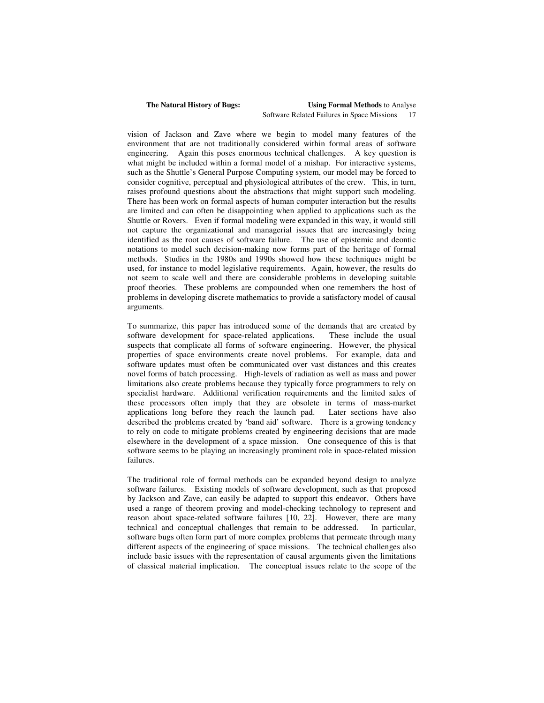vision of Jackson and Zave where we begin to model many features of the environment that are not traditionally considered within formal areas of software engineering. Again this poses enormous technical challenges. A key question is what might be included within a formal model of a mishap. For interactive systems, such as the Shuttle's General Purpose Computing system, our model may be forced to consider cognitive, perceptual and physiological attributes of the crew. This, in turn, raises profound questions about the abstractions that might support such modeling. There has been work on formal aspects of human computer interaction but the results are limited and can often be disappointing when applied to applications such as the Shuttle or Rovers. Even if formal modeling were expanded in this way, it would still not capture the organizational and managerial issues that are increasingly being identified as the root causes of software failure. The use of epistemic and deontic notations to model such decision-making now forms part of the heritage of formal methods. Studies in the 1980s and 1990s showed how these techniques might be used, for instance to model legislative requirements. Again, however, the results do not seem to scale well and there are considerable problems in developing suitable proof theories. These problems are compounded when one remembers the host of problems in developing discrete mathematics to provide a satisfactory model of causal arguments.

To summarize, this paper has introduced some of the demands that are created by software development for space-related applications. These include the usual suspects that complicate all forms of software engineering. However, the physical properties of space environments create novel problems. For example, data and software updates must often be communicated over vast distances and this creates novel forms of batch processing. High-levels of radiation as well as mass and power limitations also create problems because they typically force programmers to rely on specialist hardware. Additional verification requirements and the limited sales of these processors often imply that they are obsolete in terms of mass-market applications long before they reach the launch pad. Later sections have also described the problems created by 'band aid' software. There is a growing tendency to rely on code to mitigate problems created by engineering decisions that are made elsewhere in the development of a space mission. One consequence of this is that software seems to be playing an increasingly prominent role in space-related mission failures.

The traditional role of formal methods can be expanded beyond design to analyze software failures. Existing models of software development, such as that proposed by Jackson and Zave, can easily be adapted to support this endeavor. Others have used a range of theorem proving and model-checking technology to represent and reason about space-related software failures [10, 22]. However, there are many technical and conceptual challenges that remain to be addressed. In particular, software bugs often form part of more complex problems that permeate through many different aspects of the engineering of space missions. The technical challenges also include basic issues with the representation of causal arguments given the limitations of classical material implication. The conceptual issues relate to the scope of the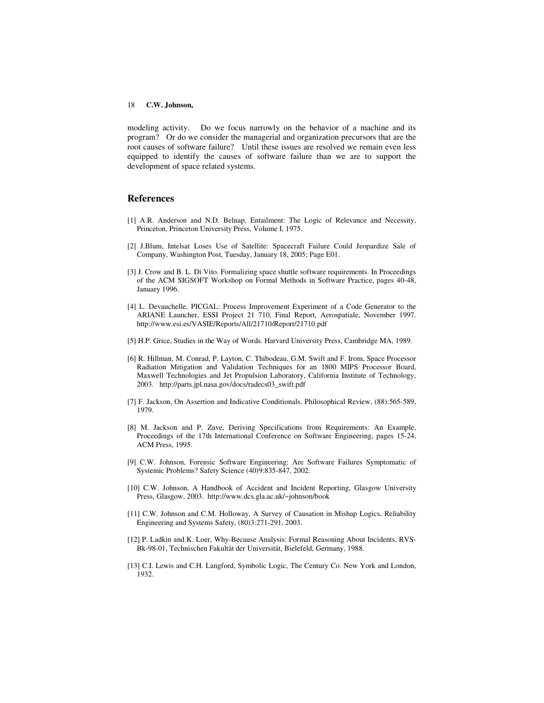modeling activity. Do we focus narrowly on the behavior of a machine and its program? Or do we consider the managerial and organization precursors that are the root causes of software failure? Until these issues are resolved we remain even less equipped to identify the causes of software failure than we are to support the development of space related systems.

## **References**

- [1] A.R. Anderson and N.D. Belnap, Entailment: The Logic of Relevance and Necessity, Princeton, Princeton University Press, Volume I, 1975.
- [2] J.Blum, Intelsat Loses Use of Satellite: Spacecraft Failure Could Jeopardize Sale of Company, Washington Post, Tuesday, January 18, 2005; Page E01.
- [3] J. Crow and B. L. Di Vito. Formalizing space shuttle software requirements. In Proceedings of the ACM SIGSOFT Workshop on Formal Methods in Software Practice, pages 40-48, January 1996.
- [4] L. Devauchelle, PICGAL: Process Improvement Experiment of a Code Generator to the ARIANE Launcher, ESSI Project 21 710, Final Report, Aerospatiale, November 1997. http://www.esi.es/VASIE/Reports/All/21710/Report/21710.pdf
- [5] H.P. Grice, Studies in the Way of Words. Harvard University Press, Cambridge MA, 1989.
- [6] R. Hillman, M. Conrad, P. Layton, C. Thibodeau, G.M. Swift and F. Irom, Space Processor Radiation Mitigation and Validation Techniques for an 1800 MIPS Processor Board, Maxwell Technologies and Jet Propulsion Laboratory, California Institute of Technology, 2003. http://parts.jpl.nasa.gov/docs/radecs03\_swift.pdf
- [7] F. Jackson, On Assertion and Indicative Conditionals. Philosophical Review, (88):565-589, 1979.
- [8] M. Jackson and P. Zave, Deriving Specifications from Requirements: An Example, Proceedings of the 17th International Conference on Software Engineering, pages 15-24, ACM Press, 1995.
- [9] C.W. Johnson, Forensic Software Engineering: Are Software Failures Symptomatic of Systemic Problems? Safety Science (40)9:835-847, 2002.
- [10] C.W. Johnson, A Handbook of Accident and Incident Reporting, Glasgow University Press, Glasgow, 2003. http://www.dcs.gla.ac.uk/~johnson/book
- [11] C.W. Johnson and C.M. Holloway, A Survey of Causation in Mishap Logics, Reliability Engineering and Systems Safety, (80)3:271-291, 2003.
- [12] P. Ladkin and K. Loer, Why-Because Analysis: Formal Reasoning About Incidents, RVS-Bk-98-01, Technischen Fakultät der Universität, Bielefeld, Germany, 1988.
- [13] C.I. Lewis and C.H. Langford, Symbolic Logic, The Century Co. New York and London, 1932.